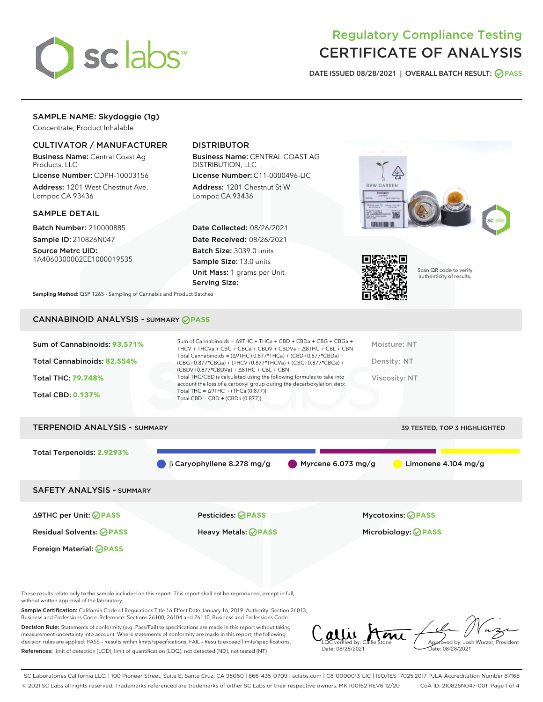

## Regulatory Compliance Testing CERTIFICATE OF ANALYSIS

DATE ISSUED 08/28/2021 | OVERALL BATCH RESULT: @ PASS

#### SAMPLE NAME: Skydoggie (1g)

Concentrate, Product Inhalable

#### CULTIVATOR / MANUFACTURER

Business Name: Central Coast Ag Products, LLC

License Number: CDPH-10003156 Address: 1201 West Chestnut Ave. Lompoc CA 93436

#### SAMPLE DETAIL

Batch Number: 210000885 Sample ID: 210826N047

Source Metrc UID: 1A4060300002EE1000019535

#### DISTRIBUTOR

Business Name: CENTRAL COAST AG DISTRIBUTION, LLC

License Number: C11-0000496-LIC Address: 1201 Chestnut St W Lompoc CA 93436

Date Collected: 08/26/2021 Date Received: 08/26/2021 Batch Size: 3039.0 units Sample Size: 13.0 units Unit Mass: 1 grams per Unit Serving Size:





Scan QR code to verify authenticity of results.

Sampling Method: QSP 1265 - Sampling of Cannabis and Product Batches

### CANNABINOID ANALYSIS - SUMMARY **PASS**



# TERPENOID ANALYSIS - SUMMARY 39 TESTED, TOP 3 HIGHLIGHTED Total Terpenoids: **2.9293%** β Caryophyllene 8.278 mg/g Myrcene 6.073 mg/g Limonene 4.104 mg/g SAFETY ANALYSIS - SUMMARY

Foreign Material: **PASS**

∆9THC per Unit: **PASS** Pesticides: **PASS** Mycotoxins: **PASS**

Residual Solvents: **PASS** Heavy Metals: **PASS** Microbiology: **PASS**

These results relate only to the sample included on this report. This report shall not be reproduced, except in full, without written approval of the laboratory.

Sample Certification: California Code of Regulations Title 16 Effect Date January 16, 2019. Authority: Section 26013, Business and Professions Code. Reference: Sections 26100, 26104 and 26110, Business and Professions Code.

Decision Rule: Statements of conformity (e.g. Pass/Fail) to specifications are made in this report without taking measurement uncertainty into account. Where statements of conformity are made in this report, the following decision rules are applied: PASS – Results within limits/specifications, FAIL – Results exceed limits/specifications. References: limit of detection (LOD), limit of quantification (LOQ), not detected (ND), not tested (NT)

alli Ami Approved by: Josh Wurzer, President LQC verified by: Callie Stone ate: 08/28/2021 Date: 08/28/2021

SC Laboratories California LLC. | 100 Pioneer Street, Suite E, Santa Cruz, CA 95060 | 866-435-0709 | sclabs.com | C8-0000013-LIC | ISO/IES 17025:2017 PJLA Accreditation Number 87168 © 2021 SC Labs all rights reserved. Trademarks referenced are trademarks of either SC Labs or their respective owners. MKT00162 REV6 12/20 CoA ID: 210826N047-001 Page 1 of 4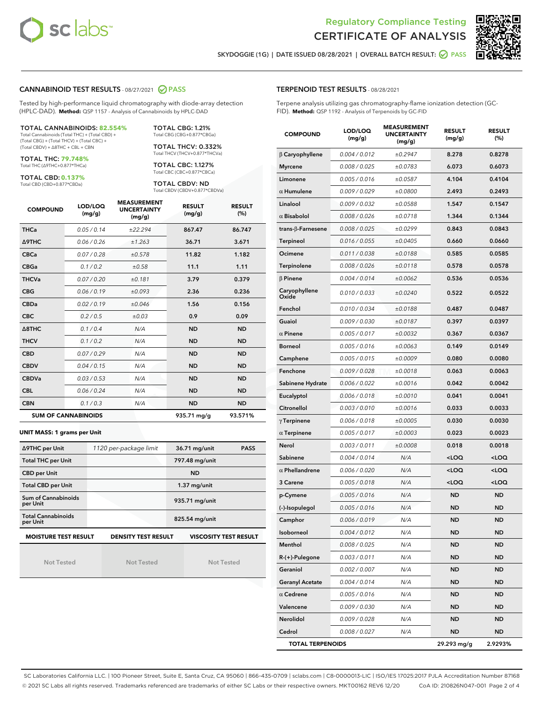



SKYDOGGIE (1G) | DATE ISSUED 08/28/2021 | OVERALL BATCH RESULT: @ PASS

#### CANNABINOID TEST RESULTS - 08/27/2021 2 PASS

Tested by high-performance liquid chromatography with diode-array detection (HPLC-DAD). **Method:** QSP 1157 - Analysis of Cannabinoids by HPLC-DAD

#### TOTAL CANNABINOIDS: **82.554%**

Total Cannabinoids (Total THC) + (Total CBD) + (Total CBG) + (Total THCV) + (Total CBC) + (Total CBDV) + ∆8THC + CBL + CBN

TOTAL THC: **79.748%** Total THC (∆9THC+0.877\*THCa)

TOTAL CBD: **0.137%**

Total CBD (CBD+0.877\*CBDa)

TOTAL CBG: 1.21% Total CBG (CBG+0.877\*CBGa)

TOTAL THCV: 0.332% Total THCV (THCV+0.877\*THCVa)

TOTAL CBC: 1.127% Total CBC (CBC+0.877\*CBCa)

TOTAL CBDV: ND Total CBDV (CBDV+0.877\*CBDVa)

| <b>COMPOUND</b>  | LOD/LOQ<br>(mg/g)          | <b>MEASUREMENT</b><br><b>UNCERTAINTY</b><br>(mg/g) | <b>RESULT</b><br>(mg/g) | <b>RESULT</b><br>(%) |
|------------------|----------------------------|----------------------------------------------------|-------------------------|----------------------|
| <b>THCa</b>      | 0.05 / 0.14                | ±22.294                                            | 867.47                  | 86.747               |
| <b>A9THC</b>     | 0.06/0.26                  | ±1.263                                             | 36.71                   | 3.671                |
| <b>CBCa</b>      | 0.07 / 0.28                | ±0.578                                             | 11.82                   | 1.182                |
| <b>CBGa</b>      | 0.1/0.2                    | ±0.58                                              | 11.1                    | 1.11                 |
| <b>THCVa</b>     | 0.07 / 0.20                | ±0.181                                             | 3.79                    | 0.379                |
| <b>CBG</b>       | 0.06/0.19                  | ±0.093                                             | 2.36                    | 0.236                |
| <b>CBDa</b>      | 0.02/0.19                  | ±0.046                                             | 1.56                    | 0.156                |
| <b>CBC</b>       | 0.2/0.5                    | ±0.03                                              | 0.9                     | 0.09                 |
| $\triangle$ 8THC | 0.1/0.4                    | N/A                                                | <b>ND</b>               | <b>ND</b>            |
| <b>THCV</b>      | 0.1/0.2                    | N/A                                                | <b>ND</b>               | <b>ND</b>            |
| <b>CBD</b>       | 0.07/0.29                  | N/A                                                | <b>ND</b>               | <b>ND</b>            |
| <b>CBDV</b>      | 0.04 / 0.15                | N/A                                                | <b>ND</b>               | <b>ND</b>            |
| <b>CBDVa</b>     | 0.03/0.53                  | N/A                                                | <b>ND</b>               | <b>ND</b>            |
| <b>CBL</b>       | 0.06 / 0.24                | N/A                                                | <b>ND</b>               | <b>ND</b>            |
| <b>CBN</b>       | 0.1/0.3                    | N/A                                                | <b>ND</b>               | <b>ND</b>            |
|                  | <b>SUM OF CANNABINOIDS</b> |                                                    | 935.71 mg/g             | 93.571%              |

#### **UNIT MASS: 1 grams per Unit**

| ∆9THC per Unit                        | 1120 per-package limit     | 36.71 mg/unit<br><b>PASS</b> |
|---------------------------------------|----------------------------|------------------------------|
| <b>Total THC per Unit</b>             |                            | 797.48 mg/unit               |
| <b>CBD per Unit</b>                   |                            | <b>ND</b>                    |
| <b>Total CBD per Unit</b>             |                            | $1.37$ mg/unit               |
| Sum of Cannabinoids<br>per Unit       |                            | 935.71 mg/unit               |
| <b>Total Cannabinoids</b><br>per Unit |                            | 825.54 mg/unit               |
| <b>MOISTURE TEST RESULT</b>           | <b>DENSITY TEST RESULT</b> | <b>VISCOSITY TEST RESULT</b> |

Not Tested

Not Tested

Not Tested

#### TERPENOID TEST RESULTS - 08/28/2021

Terpene analysis utilizing gas chromatography-flame ionization detection (GC-FID). **Method:** QSP 1192 - Analysis of Terpenoids by GC-FID

| <b>COMPOUND</b>           | LOD/LOQ<br>(mg/g) | <b>MEASUREMENT</b><br><b>UNCERTAINTY</b><br>(mg/g) | <b>RESULT</b><br>(mg/g)                         | <b>RESULT</b><br>(%) |
|---------------------------|-------------------|----------------------------------------------------|-------------------------------------------------|----------------------|
| $\beta$ Caryophyllene     | 0.004 / 0.012     | ±0.2947                                            | 8.278                                           | 0.8278               |
| <b>Myrcene</b>            | 0.008 / 0.025     | ±0.0783                                            | 6.073                                           | 0.6073               |
| Limonene                  | 0.005 / 0.016     | ±0.0587                                            | 4.104                                           | 0.4104               |
| $\alpha$ Humulene         | 0.009 / 0.029     | ±0.0800                                            | 2.493                                           | 0.2493               |
| Linalool                  | 0.009 / 0.032     | ±0.0588                                            | 1.547                                           | 0.1547               |
| $\alpha$ Bisabolol        | 0.008 / 0.026     | ±0.0718                                            | 1.344                                           | 0.1344               |
| trans- $\beta$ -Farnesene | 0.008 / 0.025     | ±0.0299                                            | 0.843                                           | 0.0843               |
| <b>Terpineol</b>          | 0.016 / 0.055     | ±0.0405                                            | 0.660                                           | 0.0660               |
| Ocimene                   | 0.011 / 0.038     | ±0.0188                                            | 0.585                                           | 0.0585               |
| Terpinolene               | 0.008 / 0.026     | ±0.0118                                            | 0.578                                           | 0.0578               |
| $\beta$ Pinene            | 0.004 / 0.014     | ±0.0062                                            | 0.536                                           | 0.0536               |
| Caryophyllene<br>Oxide    | 0.010 / 0.033     | ±0.0240                                            | 0.522                                           | 0.0522               |
| Fenchol                   | 0.010 / 0.034     | ±0.0188                                            | 0.487                                           | 0.0487               |
| Guaiol                    | 0.009 / 0.030     | ±0.0187                                            | 0.397                                           | 0.0397               |
| $\alpha$ Pinene           | 0.005 / 0.017     | ±0.0032                                            | 0.367                                           | 0.0367               |
| <b>Borneol</b>            | 0.005 / 0.016     | ±0.0063                                            | 0.149                                           | 0.0149               |
| Camphene                  | 0.005 / 0.015     | ±0.0009                                            | 0.080                                           | 0.0080               |
| Fenchone                  | 0.009 / 0.028     | ±0.0018                                            | 0.063                                           | 0.0063               |
| Sabinene Hydrate          | 0.006 / 0.022     | ±0.0016                                            | 0.042                                           | 0.0042               |
| Eucalyptol                | 0.006 / 0.018     | ±0.0010                                            | 0.041                                           | 0.0041               |
| Citronellol               | 0.003 / 0.010     | ±0.0016                                            | 0.033                                           | 0.0033               |
| $\gamma$ Terpinene        | 0.006 / 0.018     | ±0.0005                                            | 0.030                                           | 0.0030               |
| $\alpha$ Terpinene        | 0.005 / 0.017     | ±0.0003                                            | 0.023                                           | 0.0023               |
| Nerol                     | 0.003 / 0.011     | ±0.0008                                            | 0.018                                           | 0.0018               |
| Sabinene                  | 0.004 / 0.014     | N/A                                                | <loq< th=""><th><loq< th=""></loq<></th></loq<> | <loq< th=""></loq<>  |
| $\alpha$ Phellandrene     | 0.006 / 0.020     | N/A                                                | <loq< th=""><th><loq< th=""></loq<></th></loq<> | <loq< th=""></loq<>  |
| 3 Carene                  | 0.005 / 0.018     | N/A                                                | <loq< th=""><th><loq< th=""></loq<></th></loq<> | <loq< th=""></loq<>  |
| p-Cymene                  | 0.005 / 0.016     | N/A                                                | ND                                              | ND                   |
| (-)-Isopulegol            | 0.005 / 0.016     | N/A                                                | ND                                              | ND                   |
| Camphor                   | 0.006 / 0.019     | N/A                                                | <b>ND</b>                                       | <b>ND</b>            |
| Isoborneol                | 0.004 / 0.012     | N/A                                                | ND                                              | ND                   |
| Menthol                   | 0.008 / 0.025     | N/A                                                | <b>ND</b>                                       | ND                   |
| $R-(+)$ -Pulegone         | 0.003 / 0.011     | N/A                                                | ND                                              | ND                   |
| Geraniol                  | 0.002 / 0.007     | N/A                                                | ND                                              | ND                   |
| <b>Geranyl Acetate</b>    | 0.004 / 0.014     | N/A                                                | ND                                              | ND                   |
| $\alpha$ Cedrene          | 0.005 / 0.016     | N/A                                                | ND                                              | ND                   |
| Valencene                 | 0.009 / 0.030     | N/A                                                | <b>ND</b>                                       | ND                   |
| Nerolidol                 | 0.009 / 0.028     | N/A                                                | ND                                              | ND                   |
| Cedrol                    | 0.008 / 0.027     | N/A                                                | ND                                              | ND                   |
| <b>TOTAL TERPENOIDS</b>   |                   |                                                    | 29.293 mg/g                                     | 2.9293%              |

SC Laboratories California LLC. | 100 Pioneer Street, Suite E, Santa Cruz, CA 95060 | 866-435-0709 | sclabs.com | C8-0000013-LIC | ISO/IES 17025:2017 PJLA Accreditation Number 87168 © 2021 SC Labs all rights reserved. Trademarks referenced are trademarks of either SC Labs or their respective owners. MKT00162 REV6 12/20 CoA ID: 210826N047-001 Page 2 of 4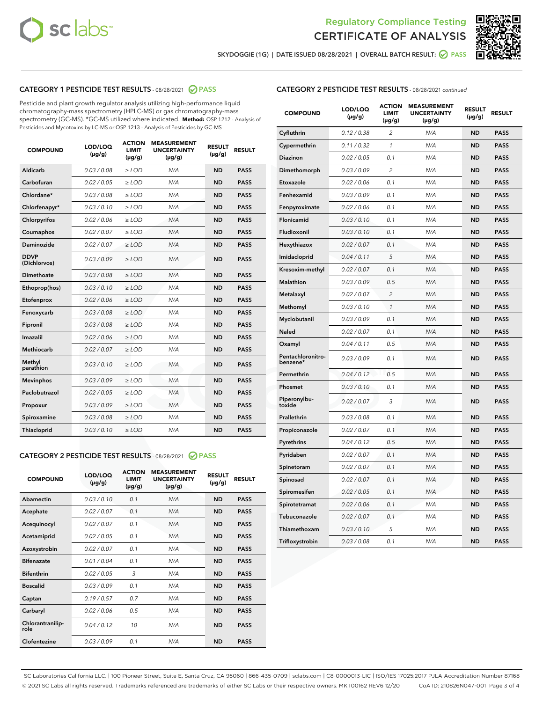



SKYDOGGIE (1G) | DATE ISSUED 08/28/2021 | OVERALL BATCH RESULT: ☑ PASS

#### CATEGORY 1 PESTICIDE TEST RESULTS - 08/28/2021 2 PASS

Pesticide and plant growth regulator analysis utilizing high-performance liquid chromatography-mass spectrometry (HPLC-MS) or gas chromatography-mass spectrometry (GC-MS). \*GC-MS utilized where indicated. **Method:** QSP 1212 - Analysis of Pesticides and Mycotoxins by LC-MS or QSP 1213 - Analysis of Pesticides by GC-MS

| <b>COMPOUND</b>             | LOD/LOQ<br>$(\mu g/g)$ | <b>ACTION</b><br><b>LIMIT</b><br>$(\mu g/g)$ | <b>MEASUREMENT</b><br><b>UNCERTAINTY</b><br>$(\mu g/g)$ | <b>RESULT</b><br>$(\mu g/g)$ | <b>RESULT</b> |
|-----------------------------|------------------------|----------------------------------------------|---------------------------------------------------------|------------------------------|---------------|
| Aldicarb                    | 0.03/0.08              | $>$ LOD                                      | N/A                                                     | <b>ND</b>                    | <b>PASS</b>   |
| Carbofuran                  | 0.02 / 0.05            | $\ge$ LOD                                    | N/A                                                     | <b>ND</b>                    | <b>PASS</b>   |
| Chlordane*                  | 0.03/0.08              | $>$ LOD                                      | N/A                                                     | <b>ND</b>                    | <b>PASS</b>   |
| Chlorfenapyr*               | 0.03/0.10              | $\ge$ LOD                                    | N/A                                                     | <b>ND</b>                    | <b>PASS</b>   |
| Chlorpyrifos                | 0.02 / 0.06            | $\ge$ LOD                                    | N/A                                                     | <b>ND</b>                    | <b>PASS</b>   |
| Coumaphos                   | 0.02 / 0.07            | $\ge$ LOD                                    | N/A                                                     | <b>ND</b>                    | <b>PASS</b>   |
| Daminozide                  | 0.02 / 0.07            | $\ge$ LOD                                    | N/A                                                     | <b>ND</b>                    | <b>PASS</b>   |
| <b>DDVP</b><br>(Dichlorvos) | 0.03/0.09              | $\ge$ LOD                                    | N/A                                                     | <b>ND</b>                    | <b>PASS</b>   |
| <b>Dimethoate</b>           | 0.03/0.08              | $\ge$ LOD                                    | N/A                                                     | <b>ND</b>                    | <b>PASS</b>   |
| Ethoprop(hos)               | 0.03/0.10              | $\ge$ LOD                                    | N/A                                                     | <b>ND</b>                    | <b>PASS</b>   |
| Etofenprox                  | 0.02 / 0.06            | $\ge$ LOD                                    | N/A                                                     | <b>ND</b>                    | <b>PASS</b>   |
| Fenoxycarb                  | 0.03/0.08              | $\ge$ LOD                                    | N/A                                                     | <b>ND</b>                    | <b>PASS</b>   |
| Fipronil                    | 0.03/0.08              | $>$ LOD                                      | N/A                                                     | <b>ND</b>                    | <b>PASS</b>   |
| Imazalil                    | 0.02 / 0.06            | $>$ LOD                                      | N/A                                                     | <b>ND</b>                    | <b>PASS</b>   |
| <b>Methiocarb</b>           | 0.02 / 0.07            | $\ge$ LOD                                    | N/A                                                     | <b>ND</b>                    | <b>PASS</b>   |
| Methyl<br>parathion         | 0.03/0.10              | $\ge$ LOD                                    | N/A                                                     | <b>ND</b>                    | <b>PASS</b>   |
| <b>Mevinphos</b>            | 0.03/0.09              | $\ge$ LOD                                    | N/A                                                     | <b>ND</b>                    | <b>PASS</b>   |
| Paclobutrazol               | 0.02 / 0.05            | $>$ LOD                                      | N/A                                                     | <b>ND</b>                    | <b>PASS</b>   |
| Propoxur                    | 0.03/0.09              | $\ge$ LOD                                    | N/A                                                     | <b>ND</b>                    | <b>PASS</b>   |
| Spiroxamine                 | 0.03 / 0.08            | $\ge$ LOD                                    | N/A                                                     | <b>ND</b>                    | <b>PASS</b>   |
| Thiacloprid                 | 0.03/0.10              | $\ge$ LOD                                    | N/A                                                     | <b>ND</b>                    | <b>PASS</b>   |

#### CATEGORY 2 PESTICIDE TEST RESULTS - 08/28/2021 @ PASS

| <b>COMPOUND</b>          | LOD/LOO<br>$(\mu g/g)$ | <b>ACTION</b><br>LIMIT<br>$(\mu g/g)$ | <b>MEASUREMENT</b><br><b>UNCERTAINTY</b><br>$(\mu g/g)$ | <b>RESULT</b><br>$(\mu g/g)$ | <b>RESULT</b> |
|--------------------------|------------------------|---------------------------------------|---------------------------------------------------------|------------------------------|---------------|
| Abamectin                | 0.03/0.10              | 0.1                                   | N/A                                                     | <b>ND</b>                    | <b>PASS</b>   |
| Acephate                 | 0.02/0.07              | 0.1                                   | N/A                                                     | <b>ND</b>                    | <b>PASS</b>   |
| Acequinocyl              | 0.02/0.07              | 0.1                                   | N/A                                                     | <b>ND</b>                    | <b>PASS</b>   |
| Acetamiprid              | 0.02/0.05              | 0.1                                   | N/A                                                     | <b>ND</b>                    | <b>PASS</b>   |
| Azoxystrobin             | 0.02/0.07              | 0.1                                   | N/A                                                     | <b>ND</b>                    | <b>PASS</b>   |
| <b>Bifenazate</b>        | 0.01/0.04              | 0.1                                   | N/A                                                     | <b>ND</b>                    | <b>PASS</b>   |
| <b>Bifenthrin</b>        | 0.02 / 0.05            | 3                                     | N/A                                                     | <b>ND</b>                    | <b>PASS</b>   |
| <b>Boscalid</b>          | 0.03/0.09              | 0.1                                   | N/A                                                     | <b>ND</b>                    | <b>PASS</b>   |
| Captan                   | 0.19/0.57              | 0.7                                   | N/A                                                     | <b>ND</b>                    | <b>PASS</b>   |
| Carbaryl                 | 0.02/0.06              | 0.5                                   | N/A                                                     | <b>ND</b>                    | <b>PASS</b>   |
| Chlorantranilip-<br>role | 0.04/0.12              | 10                                    | N/A                                                     | <b>ND</b>                    | <b>PASS</b>   |
| Clofentezine             | 0.03/0.09              | 0.1                                   | N/A                                                     | <b>ND</b>                    | <b>PASS</b>   |

#### CATEGORY 2 PESTICIDE TEST RESULTS - 08/28/2021 continued

| <b>COMPOUND</b>               | LOD/LOQ<br>(µg/g) | <b>ACTION</b><br>LIMIT<br>$(\mu g/g)$ | <b>MEASUREMENT</b><br><b>UNCERTAINTY</b><br>(µg/g) | <b>RESULT</b><br>(µg/g) | <b>RESULT</b> |
|-------------------------------|-------------------|---------------------------------------|----------------------------------------------------|-------------------------|---------------|
| Cyfluthrin                    | 0.12 / 0.38       | 2                                     | N/A                                                | ND                      | <b>PASS</b>   |
| Cypermethrin                  | 0.11 / 0.32       | 1                                     | N/A                                                | ND                      | <b>PASS</b>   |
| Diazinon                      | 0.02 / 0.05       | 0.1                                   | N/A                                                | ND                      | <b>PASS</b>   |
| Dimethomorph                  | 0.03 / 0.09       | $\overline{c}$                        | N/A                                                | <b>ND</b>               | <b>PASS</b>   |
| Etoxazole                     | 0.02 / 0.06       | 0.1                                   | N/A                                                | ND                      | <b>PASS</b>   |
| Fenhexamid                    | 0.03 / 0.09       | 0.1                                   | N/A                                                | ND                      | <b>PASS</b>   |
| Fenpyroximate                 | 0.02 / 0.06       | 0.1                                   | N/A                                                | <b>ND</b>               | <b>PASS</b>   |
| Flonicamid                    | 0.03 / 0.10       | 0.1                                   | N/A                                                | <b>ND</b>               | <b>PASS</b>   |
| Fludioxonil                   | 0.03 / 0.10       | 0.1                                   | N/A                                                | <b>ND</b>               | <b>PASS</b>   |
| Hexythiazox                   | 0.02 / 0.07       | 0.1                                   | N/A                                                | <b>ND</b>               | <b>PASS</b>   |
| Imidacloprid                  | 0.04 / 0.11       | 5                                     | N/A                                                | <b>ND</b>               | <b>PASS</b>   |
| Kresoxim-methyl               | 0.02 / 0.07       | 0.1                                   | N/A                                                | ND                      | <b>PASS</b>   |
| Malathion                     | 0.03 / 0.09       | 0.5                                   | N/A                                                | <b>ND</b>               | <b>PASS</b>   |
| Metalaxyl                     | 0.02 / 0.07       | $\overline{c}$                        | N/A                                                | <b>ND</b>               | <b>PASS</b>   |
| Methomyl                      | 0.03 / 0.10       | 1                                     | N/A                                                | ND                      | <b>PASS</b>   |
| Myclobutanil                  | 0.03/0.09         | 0.1                                   | N/A                                                | <b>ND</b>               | <b>PASS</b>   |
| Naled                         | 0.02 / 0.07       | 0.1                                   | N/A                                                | ND                      | <b>PASS</b>   |
| Oxamyl                        | 0.04 / 0.11       | 0.5                                   | N/A                                                | ND                      | <b>PASS</b>   |
| Pentachloronitro-<br>benzene* | 0.03 / 0.09       | 0.1                                   | N/A                                                | ND                      | <b>PASS</b>   |
| Permethrin                    | 0.04/0.12         | 0.5                                   | N/A                                                | <b>ND</b>               | <b>PASS</b>   |
| Phosmet                       | 0.03 / 0.10       | 0.1                                   | N/A                                                | ND                      | <b>PASS</b>   |
| Piperonylbu-<br>toxide        | 0.02 / 0.07       | 3                                     | N/A                                                | <b>ND</b>               | <b>PASS</b>   |
| Prallethrin                   | 0.03 / 0.08       | 0.1                                   | N/A                                                | <b>ND</b>               | <b>PASS</b>   |
| Propiconazole                 | 0.02 / 0.07       | 0.1                                   | N/A                                                | ND                      | <b>PASS</b>   |
| Pyrethrins                    | 0.04 / 0.12       | 0.5                                   | N/A                                                | ND                      | <b>PASS</b>   |
| Pyridaben                     | 0.02 / 0.07       | 0.1                                   | N/A                                                | <b>ND</b>               | <b>PASS</b>   |
| Spinetoram                    | 0.02 / 0.07       | 0.1                                   | N/A                                                | ND                      | <b>PASS</b>   |
| Spinosad                      | 0.02 / 0.07       | 0.1                                   | N/A                                                | ND                      | <b>PASS</b>   |
| Spiromesifen                  | 0.02 / 0.05       | 0.1                                   | N/A                                                | <b>ND</b>               | <b>PASS</b>   |
| Spirotetramat                 | 0.02 / 0.06       | 0.1                                   | N/A                                                | ND                      | <b>PASS</b>   |
| Tebuconazole                  | 0.02 / 0.07       | 0.1                                   | N/A                                                | ND                      | <b>PASS</b>   |
| Thiamethoxam                  | 0.03 / 0.10       | 5                                     | N/A                                                | <b>ND</b>               | <b>PASS</b>   |
| Trifloxystrobin               | 0.03 / 0.08       | 0.1                                   | N/A                                                | <b>ND</b>               | <b>PASS</b>   |

SC Laboratories California LLC. | 100 Pioneer Street, Suite E, Santa Cruz, CA 95060 | 866-435-0709 | sclabs.com | C8-0000013-LIC | ISO/IES 17025:2017 PJLA Accreditation Number 87168 © 2021 SC Labs all rights reserved. Trademarks referenced are trademarks of either SC Labs or their respective owners. MKT00162 REV6 12/20 CoA ID: 210826N047-001 Page 3 of 4